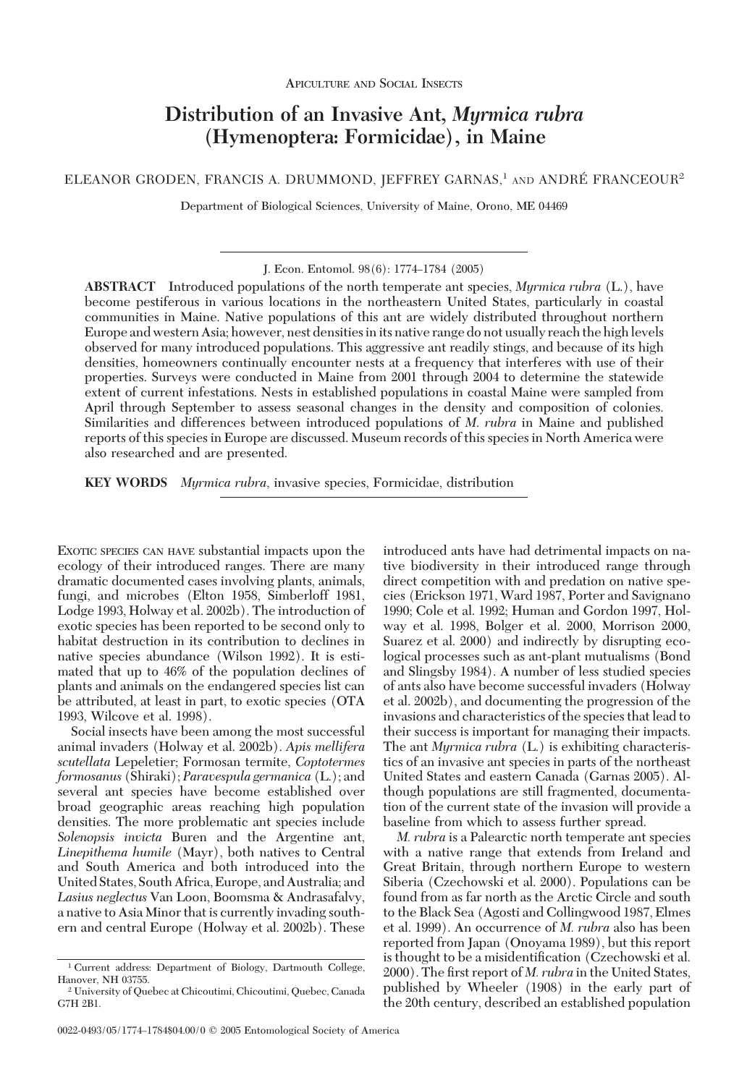# **Distribution of an Invasive Ant,** *Myrmica rubra* **(Hymenoptera: Formicidae), in Maine**

ELEANOR GRODEN, FRANCIS A. DRUMMOND, JEFFREY GARNAS, $1$  and andré Franceour<sup>2</sup>

Department of Biological Sciences, University of Maine, Orono, ME 04469

J. Econ. Entomol. 98(6): 1774-1784 (2005)

**ABSTRACT** Introduced populations of the north temperate ant species, *Myrmica rubra* (L.), have become pestiferous in various locations in the northeastern United States, particularly in coastal communities in Maine. Native populations of this ant are widely distributed throughout northern Europe and western Asia; however, nest densitiesinits native range do not usually reach the highlevels observed for many introduced populations. This aggressive ant readily stings, and because of its high densities, homeowners continually encounter nests at a frequency that interferes with use of their properties. Surveys were conducted in Maine from 2001 through 2004 to determine the statewide extent of current infestations. Nests in established populations in coastal Maine were sampled from April through September to assess seasonal changes in the density and composition of colonies. Similarities and differences between introduced populations of *M*. *rubra* in Maine and published reports of this species in Europe are discussed. Museum records of this species in North America were also researched and are presented.

**KEY WORDS** *Myrmica rubra*, invasive species, Formicidae, distribution

EXOTIC SPECIES CAN HAVE substantial impacts upon the ecology of their introduced ranges. There are many dramatic documented cases involving plants, animals, fungi, and microbes (Elton 1958, Simberloff 1981, Lodge 1993, Holway et al. 2002b). The introduction of exotic species has been reported to be second only to habitat destruction in its contribution to declines in native species abundance (Wilson 1992). It is estimated that up to 46% of the population declines of plants and animals on the endangered species list can be attributed, at least in part, to exotic species (OTA 1993, Wilcove et al. 1998).

Social insects have been among the most successful animal invaders (Holway et al. 2002b). *Apis mellifera scutellata* Lepeletier; Formosan termite, *Coptotermes formosanus* (Shiraki); *Paravespula germanica* (L.); and several ant species have become established over broad geographic areas reaching high population densities. The more problematic ant species include *Solenopsis invicta* Buren and the Argentine ant, *Linepithema humile* (Mayr), both natives to Central and South America and both introduced into the United States, South Africa, Europe, and Australia; and *Lasius neglectus* Van Loon, Boomsma & Andrasafalvy, a native to Asia Minor that is currently invading southern and central Europe (Holway et al. 2002b). These

introduced ants have had detrimental impacts on native biodiversity in their introduced range through direct competition with and predation on native species (Erickson 1971, Ward 1987, Porter and Savignano 1990; Cole et al. 1992; Human and Gordon 1997, Holway et al. 1998, Bolger et al. 2000, Morrison 2000, Suarez et al. 2000) and indirectly by disrupting ecological processes such as ant-plant mutualisms (Bond and Slingsby 1984). A number of less studied species of ants also have become successful invaders (Holway et al. 2002b), and documenting the progression of the invasions and characteristics of the species that lead to their success is important for managing their impacts. The ant *Myrmica rubra* (L.) is exhibiting characteristics of an invasive ant species in parts of the northeast United States and eastern Canada (Garnas 2005). Although populations are still fragmented, documentation of the current state of the invasion will provide a baseline from which to assess further spread.

*M. rubra* is a Palearctic north temperate ant species with a native range that extends from Ireland and Great Britain, through northern Europe to western Siberia (Czechowski et al. 2000). Populations can be found from as far north as the Arctic Circle and south to the Black Sea (Agosti and Collingwood 1987, Elmes et al. 1999). An occurrence of *M. rubra* also has been reported from Japan (Onoyama 1989), but this report is thought to be a misidentification (Czechowski et al. 2000). The first report of *M. rubra* in the United States, published by Wheeler (1908) in the early part of the 20th century, described an established population

<sup>1</sup> Current address: Department of Biology, Dartmouth College, Hanover, NH 03755.

<sup>2</sup> University of Quebec at Chicoutimi, Chicoutimi, Quebec, Canada G7H 2B1.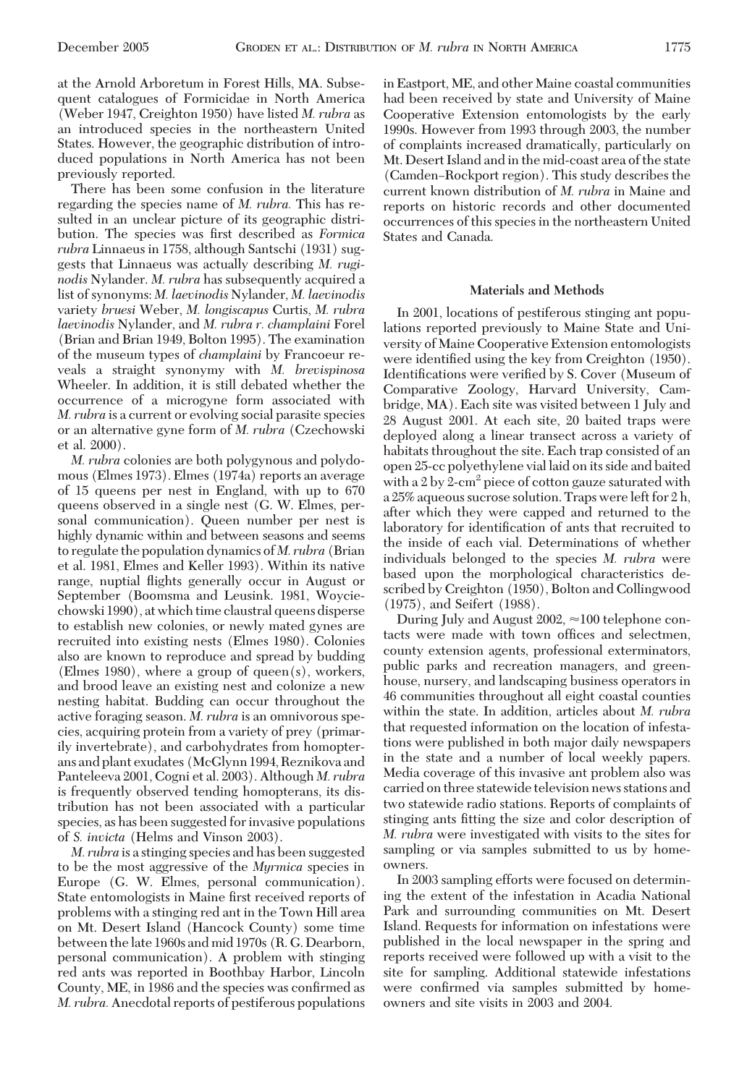at the Arnold Arboretum in Forest Hills, MA. Subsequent catalogues of Formicidae in North America (Weber 1947, Creighton 1950) have listed *M. rubra* as an introduced species in the northeastern United States. However, the geographic distribution of introduced populations in North America has not been previously reported.

There has been some confusion in the literature regarding the species name of *M. rubra.* This has resulted in an unclear picture of its geographic distribution. The species was first described as *Formica rubra* Linnaeus in 1758, although Santschi (1931) suggests that Linnaeus was actually describing *M. ruginodis* Nylander. *M. rubra* has subsequently acquired a list of synonyms: *M. laevinodis* Nylander, *M. laevinodis* variety *bruesi* Weber, *M. longiscapus* Curtis, *M. rubra laevinodis* Nylander, and *M. rubra r. champlaini* Forel (Brian and Brian 1949, Bolton 1995). The examination of the museum types of *champlaini* by Francoeur reveals a straight synonymy with *M. brevispinosa* Wheeler. In addition, it is still debated whether the occurrence of a microgyne form associated with *M. rubra* is a current or evolving social parasite species or an alternative gyne form of *M. rubra* (Czechowski et al. 2000).

*M. rubra* colonies are both polygynous and polydomous (Elmes 1973). Elmes (1974a) reports an average of 15 queens per nest in England, with up to 670 queens observed in a single nest (G. W. Elmes, personal communication). Queen number per nest is highly dynamic within and between seasons and seems to regulate the population dynamics of *M. rubra* (Brian et al. 1981, Elmes and Keller 1993). Within its native range, nuptial ßights generally occur in August or September (Boomsma and Leusink. 1981, Woyciechowski 1990), at which time claustral queens disperse to establish new colonies, or newly mated gynes are recruited into existing nests (Elmes 1980). Colonies also are known to reproduce and spread by budding (Elmes 1980), where a group of queen(s), workers, and brood leave an existing nest and colonize a new nesting habitat. Budding can occur throughout the active foraging season. *M. rubra* is an omnivorous species, acquiring protein from a variety of prey (primarily invertebrate), and carbohydrates from homopterans and plant exudates (McGlynn 1994, Reznikova and Panteleeva 2001, Cogni et al. 2003). Although *M. rubra* is frequently observed tending homopterans, its distribution has not been associated with a particular species, as has been suggested for invasive populations of *S. invicta* (Helms and Vinson 2003).

*M. rubra* is a stinging species and has been suggested to be the most aggressive of the *Myrmica* species in Europe (G. W. Elmes, personal communication). State entomologists in Maine first received reports of problems with a stinging red ant in the Town Hill area on Mt. Desert Island (Hancock County) some time between the late 1960s and mid 1970s (R. G. Dearborn, personal communication). A problem with stinging red ants was reported in Boothbay Harbor, Lincoln County, ME, in 1986 and the species was confirmed as *M. rubra.* Anecdotal reports of pestiferous populations

in Eastport, ME, and other Maine coastal communities had been received by state and University of Maine Cooperative Extension entomologists by the early 1990s. However from 1993 through 2003, the number of complaints increased dramatically, particularly on Mt. Desert Island and in the mid-coast area of the state (Camden–Rockport region). This study describes the current known distribution of *M. rubra* in Maine and reports on historic records and other documented occurrences of this species in the northeastern United States and Canada.

### **Materials and Methods**

In 2001, locations of pestiferous stinging ant populations reported previously to Maine State and University of Maine Cooperative Extension entomologists were identified using the key from Creighton (1950). Identifications were verified by S. Cover (Museum of Comparative Zoology, Harvard University, Cambridge, MA). Each site was visited between 1 July and 28 August 2001. At each site, 20 baited traps were deployed along a linear transect across a variety of habitats throughout the site. Each trap consisted of an open 25-cc polyethylene vial laid on its side and baited with a  $2 \text{ by } 2\text{-cm}^2$  piece of cotton gauze saturated with a 25% aqueous sucrose solution. Traps were left for 2 h, after which they were capped and returned to the laboratory for identification of ants that recruited to the inside of each vial. Determinations of whether individuals belonged to the species *M. rubra* were based upon the morphological characteristics described by Creighton (1950), Bolton and Collingwood (1975), and Seifert (1988).

During July and August 2002,  $\approx$  100 telephone contacts were made with town offices and selectmen, county extension agents, professional exterminators, public parks and recreation managers, and greenhouse, nursery, and landscaping business operators in 46 communities throughout all eight coastal counties within the state. In addition, articles about *M. rubra* that requested information on the location of infestations were published in both major daily newspapers in the state and a number of local weekly papers. Media coverage of this invasive ant problem also was carried on three statewide television news stations and two statewide radio stations. Reports of complaints of stinging ants fitting the size and color description of *M. rubra* were investigated with visits to the sites for sampling or via samples submitted to us by homeowners.

In 2003 sampling efforts were focused on determining the extent of the infestation in Acadia National Park and surrounding communities on Mt. Desert Island. Requests for information on infestations were published in the local newspaper in the spring and reports received were followed up with a visit to the site for sampling. Additional statewide infestations were confirmed via samples submitted by homeowners and site visits in 2003 and 2004.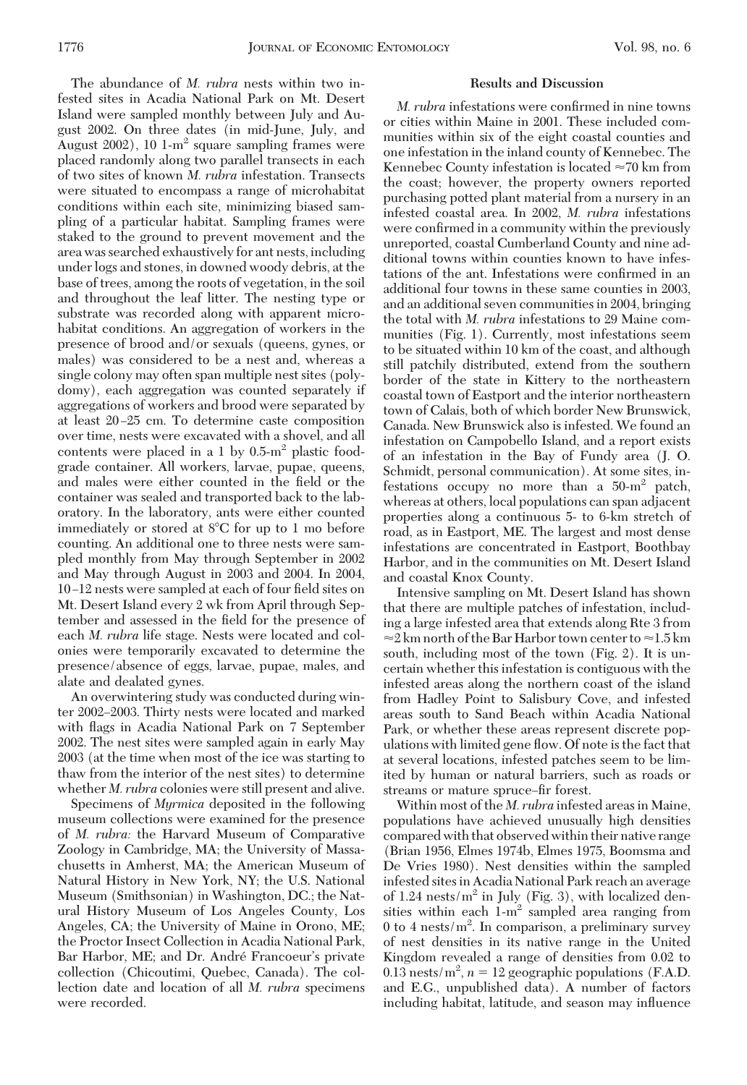The abundance of *M. rubra* nests within two infested sites in Acadia National Park on Mt. Desert Island were sampled monthly between July and August 2002. On three dates (in mid-June, July, and August  $2002$ ), 10 1-m<sup>2</sup> square sampling frames were placed randomly along two parallel transects in each of two sites of known *M. rubra* infestation. Transects were situated to encompass a range of microhabitat conditions within each site, minimizing biased sampling of a particular habitat. Sampling frames were staked to the ground to prevent movement and the area was searched exhaustively for ant nests, including under logs and stones, in downed woody debris, at the base of trees, among the roots of vegetation, in the soil and throughout the leaf litter. The nesting type or substrate was recorded along with apparent microhabitat conditions. An aggregation of workers in the presence of brood and/or sexuals (queens, gynes, or males) was considered to be a nest and, whereas a single colony may often span multiple nest sites (polydomy), each aggregation was counted separately if aggregations of workers and brood were separated by at least 20–25 cm. To determine caste composition over time, nests were excavated with a shovel, and all contents were placed in a 1 by  $0.5 \text{--} m^2$  plastic foodgrade container. All workers, larvae, pupae, queens, and males were either counted in the field or the container was sealed and transported back to the laboratory. In the laboratory, ants were either counted immediately or stored at 8°C for up to 1 mo before counting. An additional one to three nests were sampled monthly from May through September in 2002 and May through August in 2003 and 2004. In 2004, 10-12 nests were sampled at each of four field sites on Mt. Desert Island every 2 wk from April through September and assessed in the field for the presence of each *M. rubra* life stage. Nests were located and colonies were temporarily excavated to determine the presence/absence of eggs, larvae, pupae, males, and alate and dealated gynes.

An overwintering study was conducted during winter 2002–2003. Thirty nests were located and marked with ßags in Acadia National Park on 7 September 2002. The nest sites were sampled again in early May 2003 (at the time when most of the ice was starting to thaw from the interior of the nest sites) to determine whether *M. rubra* colonies were still present and alive.

Specimens of *Myrmica* deposited in the following museum collections were examined for the presence of *M. rubra:* the Harvard Museum of Comparative Zoology in Cambridge, MA; the University of Massachusetts in Amherst, MA; the American Museum of Natural History in New York, NY; the U.S. National Museum (Smithsonian) in Washington, DC.; the Natural History Museum of Los Angeles County, Los Angeles, CA; the University of Maine in Orono, ME; the Proctor Insect Collection in Acadia National Park, Bar Harbor, ME; and Dr. André Francoeur's private collection (Chicoutimi, Quebec, Canada). The collection date and location of all *M. rubra* specimens were recorded.

#### **Results and Discussion**

*M. rubra* infestations were confirmed in nine towns or cities within Maine in 2001. These included communities within six of the eight coastal counties and one infestation in the inland county of Kennebec. The Kennebec County infestation is located  $\approx 70$  km from the coast; however, the property owners reported purchasing potted plant material from a nursery in an infested coastal area. In 2002, *M. rubra* infestations were confirmed in a community within the previously unreported, coastal Cumberland County and nine additional towns within counties known to have infestations of the ant. Infestations were confirmed in an additional four towns in these same counties in 2003, and an additional seven communities in 2004, bringing the total with *M. rubra* infestations to 29 Maine communities (Fig. 1). Currently, most infestations seem to be situated within 10 km of the coast, and although still patchily distributed, extend from the southern border of the state in Kittery to the northeastern coastal town of Eastport and the interior northeastern town of Calais, both of which border New Brunswick, Canada. New Brunswick also is infested. We found an infestation on Campobello Island, and a report exists of an infestation in the Bay of Fundy area (J. O. Schmidt, personal communication). At some sites, infestations occupy no more than a  $50\text{-m}^2$  patch, whereas at others, local populations can span adjacent properties along a continuous 5- to 6-km stretch of road, as in Eastport, ME. The largest and most dense infestations are concentrated in Eastport, Boothbay Harbor, and in the communities on Mt. Desert Island and coastal Knox County.

Intensive sampling on Mt. Desert Island has shown that there are multiple patches of infestation, including a large infested area that extends along Rte 3 from  $\approx$  2 km north of the Bar Harbor town center to  $\approx$  1.5 km south, including most of the town (Fig. 2). It is uncertain whether this infestation is contiguous with the infested areas along the northern coast of the island from Hadley Point to Salisbury Cove, and infested areas south to Sand Beach within Acadia National Park, or whether these areas represent discrete populations with limited gene ßow. Of note is the fact that at several locations, infested patches seem to be limited by human or natural barriers, such as roads or streams or mature spruce–fir forest.

Within most of the *M. rubra* infested areas in Maine, populations have achieved unusually high densities compared with that observed within their native range (Brian 1956, Elmes 1974b, Elmes 1975, Boomsma and De Vries 1980). Nest densities within the sampled infested sites in Acadia National Park reach an average of 1.24 nests/ $m^2$  in July (Fig. 3), with localized densities within each  $1-m^2$  sampled area ranging from  $0$  to  $4$  nests/m<sup>2</sup>. In comparison, a preliminary survey of nest densities in its native range in the United Kingdom revealed a range of densities from 0.02 to 0.13 nests/ $m^2$ ,  $n = 12$  geographic populations (F.A.D. and E.G., unpublished data). A number of factors including habitat, latitude, and season may inßuence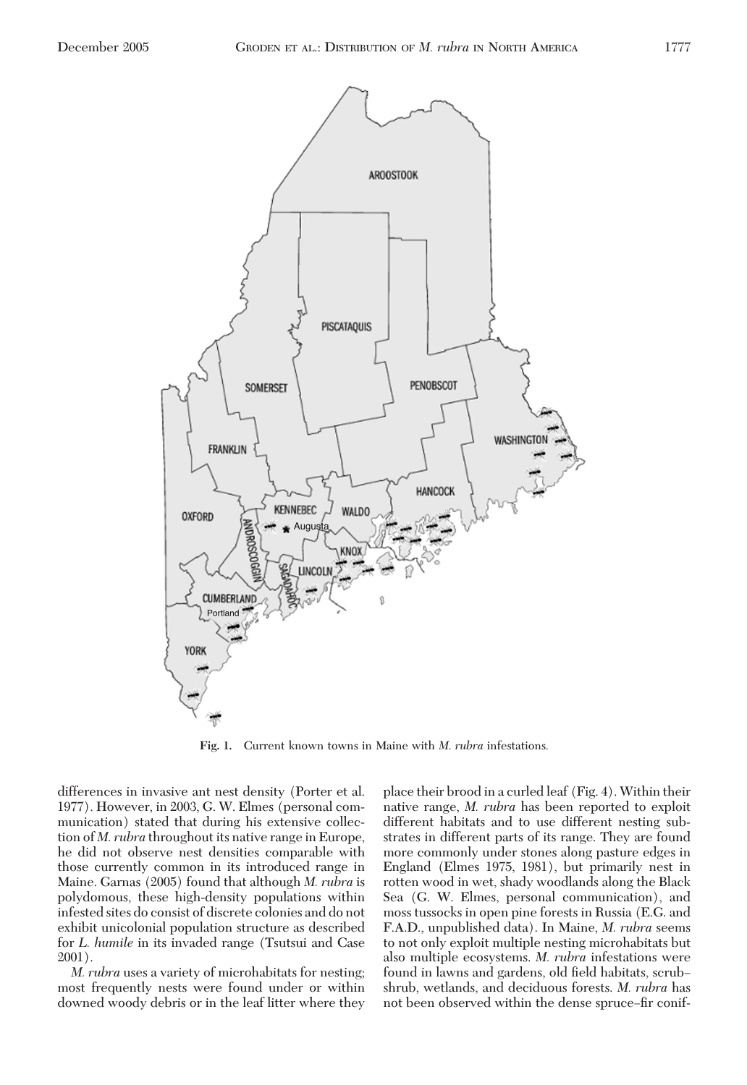

**Fig. 1.** Current known towns in Maine with *M*. *rubra* infestations.

differences in invasive ant nest density (Porter et al. 1977). However, in 2003, G. W. Elmes (personal communication) stated that during his extensive collection of *M. rubra* throughout its native range in Europe, he did not observe nest densities comparable with those currently common in its introduced range in Maine. Garnas (2005) found that although *M. rubra* is polydomous, these high-density populations within infested sites do consist of discrete colonies and do not exhibit unicolonial population structure as described for *L. humile* in its invaded range (Tsutsui and Case 2001).

*M. rubra* uses a variety of microhabitats for nesting; most frequently nests were found under or within downed woody debris or in the leaf litter where they

place their brood in a curled leaf (Fig. 4). Within their native range, *M. rubra* has been reported to exploit different habitats and to use different nesting substrates in different parts of its range. They are found more commonly under stones along pasture edges in England (Elmes 1975, 1981), but primarily nest in rotten wood in wet, shady woodlands along the Black Sea (G. W. Elmes, personal communication), and moss tussocks in open pine forests in Russia (E.G. and F.A.D., unpublished data). In Maine, *M. rubra* seems to not only exploit multiple nesting microhabitats but also multiple ecosystems. *M. rubra* infestations were found in lawns and gardens, old field habitats, scrubshrub, wetlands, and deciduous forests. *M. rubra* has not been observed within the dense spruce-fir conif-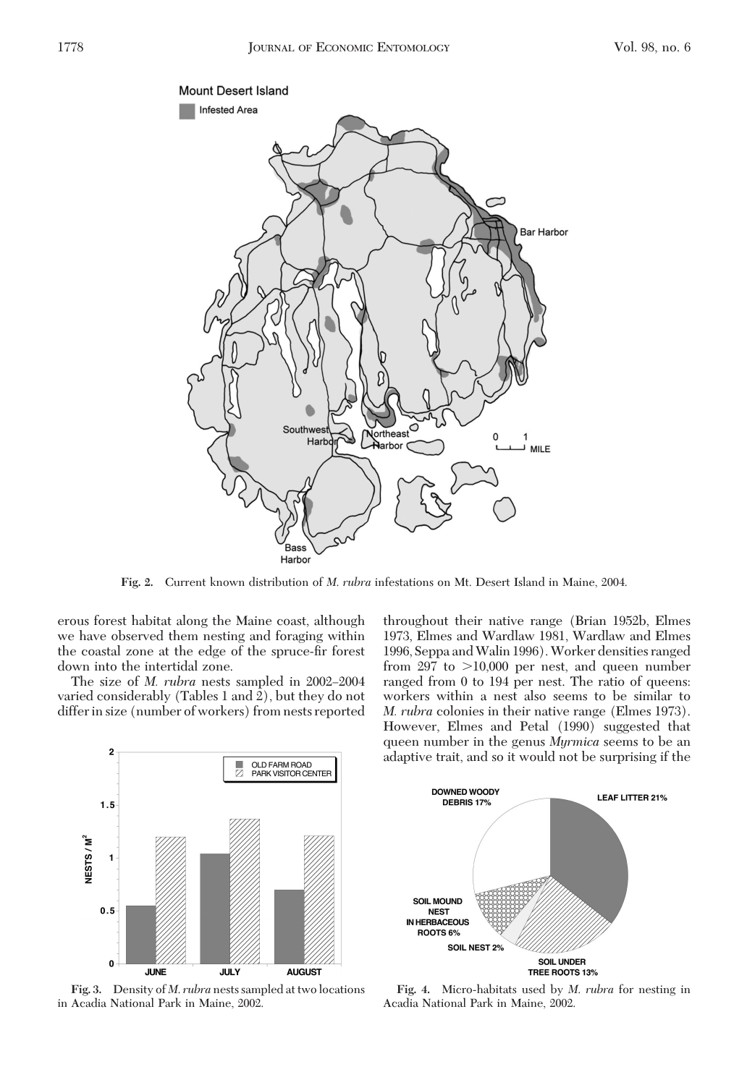

**Fig. 2.** Current known distribution of *M*. *rubra* infestations on Mt. Desert Island in Maine, 2004.

erous forest habitat along the Maine coast, although we have observed them nesting and foraging within the coastal zone at the edge of the spruce-fir forest down into the intertidal zone.

The size of *M. rubra* nests sampled in 2002–2004 varied considerably (Tables 1 and 2), but they do not differ in size (number of workers) from nests reported throughout their native range (Brian 1952b, Elmes 1973, Elmes and Wardlaw 1981, Wardlaw and Elmes 1996, Seppa andWalin 1996).Worker densities ranged from  $297$  to  $>10,000$  per nest, and queen number ranged from 0 to 194 per nest. The ratio of queens: workers within a nest also seems to be similar to *M. rubra* colonies in their native range (Elmes 1973). However, Elmes and Petal (1990) suggested that queen number in the genus *Myrmica* seems to be an adaptive trait, and so it would not be surprising if the



**Fig. 3.** Density of *M*. *rubra* nests sampled at two locations in Acadia National Park in Maine, 2002.



**Fig. 4.** Micro-habitats used by *M*. *rubra* for nesting in Acadia National Park in Maine, 2002.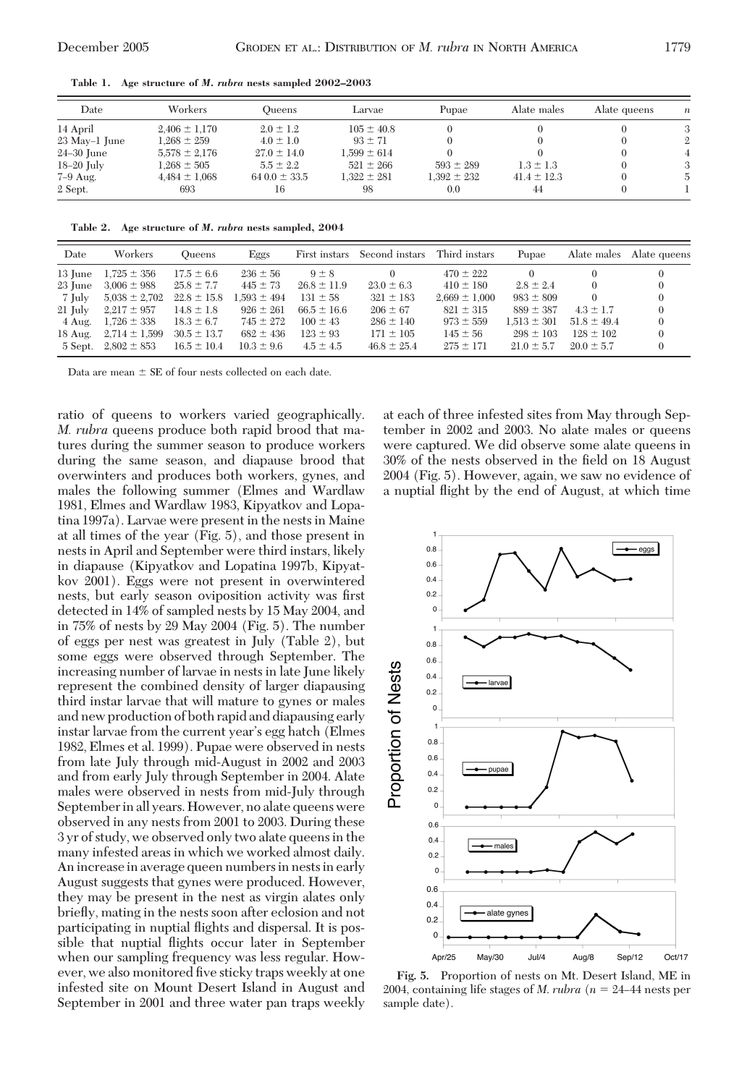**Table 1. Age structure of** *M. rubra* **nests sampled 2002–2003**

| Date          | Workers           | Oueens           | Larvae          | Pupae           | Alate males     | Alate queens | $\boldsymbol{n}$ |
|---------------|-------------------|------------------|-----------------|-----------------|-----------------|--------------|------------------|
| 14 April      | $2,406 \pm 1,170$ | $2.0 \pm 1.2$    | $105 \pm 40.8$  |                 |                 |              | 3                |
| 23 May-1 June | $1.268 \pm 259$   | $4.0 \pm 1.0$    | $93 \pm 71$     |                 |                 |              | 2                |
| $24-30$ June  | $5.578 \pm 2.176$ | $27.0 \pm 14.0$  | $1.599 \pm 614$ |                 |                 |              |                  |
| $18-20$ July  | $1.268 \pm 505$   | $5.5 \pm 2.2$    | $521 \pm 266$   | $593 \pm 289$   | $1.3 \pm 1.3$   |              | 3                |
| $7-9$ Aug.    | $4.484 \pm 1.068$ | $640.0 \pm 33.5$ | $1.322 \pm 281$ | $1.392 \pm 232$ | $41.4 \pm 12.3$ |              | 5                |
| 2 Sept.       | 693               | 16               | 98              | 0.0             | 44              |              |                  |

**Table 2. Age structure of** *M. rubra* **nests sampled, 2004**

| Date              | Workers           | <b>Oueens</b>   | Eggs            | First instars   | Second instars  | Third instars     | Pupae           | Alate males     | Alate queens |
|-------------------|-------------------|-----------------|-----------------|-----------------|-----------------|-------------------|-----------------|-----------------|--------------|
| 13 June           | $1,725 \pm 356$   | $17.5 \pm 6.6$  | $236 \pm 56$    | $9 \pm 8$       |                 | $470 \pm 222$     |                 |                 |              |
| 23 June           | $3.006 \pm 988$   | $25.8 \pm 7.7$  | $445 \pm 73$    | $26.8 \pm 11.9$ | $23.0 \pm 6.3$  | $410 \pm 180$     | $2.8 \pm 2.4$   | $^{(1)}$        |              |
| 7 July            | $5,038 \pm 2,702$ | $22.8 \pm 15.8$ | $1.593 \pm 494$ | $131 \pm 58$    | $321 \pm 183$   | $2.669 \pm 1.000$ | $983 \pm 809$   | $\Omega$        |              |
| $21 \text{ Iulv}$ | $2.217 \pm 957$   | $14.8 \pm 1.8$  | $926 \pm 261$   | $66.5 \pm 16.6$ | $206 \pm 67$    | $821 \pm 315$     | $889 \pm 387$   | $4.3 \pm 1.7$   |              |
| 4 Aug.            | $1.726 \pm 338$   | $18.3 \pm 6.7$  | $745 \pm 272$   | $100 \pm 43$    | $286 \pm 140$   | $973 \pm 559$     | $1.513 \pm 301$ | $51.8 \pm 49.4$ | $\Omega$     |
| $18$ Aug.         | $2,714 \pm 1,599$ | $30.5 \pm 13.7$ | $682 \pm 436$   | $123 \pm 93$    | $171 \pm 105$   | $145 \pm 56$      | $298 \pm 103$   | $128 \pm 102$   |              |
| 5 Sept.           | $2.802 \pm 853$   | $16.5 \pm 10.4$ | $10.3 \pm 9.6$  | $4.5 \pm 4.5$   | $46.8 \pm 25.4$ | $275 \pm 171$     | $21.0 \pm 5.7$  | $20.0 \pm 5.7$  |              |

Data are mean  $\pm$  SE of four nests collected on each date.

ratio of queens to workers varied geographically. *M. rubra* queens produce both rapid brood that matures during the summer season to produce workers during the same season, and diapause brood that overwinters and produces both workers, gynes, and males the following summer (Elmes and Wardlaw 1981, Elmes and Wardlaw 1983, Kipyatkov and Lopatina 1997a). Larvae were present in the nests in Maine at all times of the year (Fig. 5), and those present in nests in April and September were third instars, likely in diapause (Kipyatkov and Lopatina 1997b, Kipyatkov 2001). Eggs were not present in overwintered nests, but early season oviposition activity was first detected in 14% of sampled nests by 15 May 2004, and in 75% of nests by 29 May 2004 (Fig. 5). The number of eggs per nest was greatest in July (Table 2), but some eggs were observed through September. The increasing number of larvae in nests in late June likely represent the combined density of larger diapausing third instar larvae that will mature to gynes or males and new production of both rapid and diapausing early instar larvae from the current year's egg hatch (Elmes 1982, Elmes et al. 1999). Pupae were observed in nests from late July through mid-August in 2002 and 2003 and from early July through September in 2004. Alate males were observed in nests from mid-July through September in all years. However, no alate queens were observed in any nests from 2001 to 2003. During these 3 yr of study, we observed only two alate queens in the many infested areas in which we worked almost daily. An increase in average queen numbers in nests in early August suggests that gynes were produced. However, they may be present in the nest as virgin alates only brießy, mating in the nests soon after eclosion and not participating in nuptial ßights and dispersal. It is possible that nuptial ßights occur later in September when our sampling frequency was less regular. However, we also monitored five sticky traps weekly at one infested site on Mount Desert Island in August and September in 2001 and three water pan traps weekly at each of three infested sites from May through September in 2002 and 2003. No alate males or queens were captured. We did observe some alate queens in 30% of the nests observed in the field on 18 August 2004 (Fig. 5). However, again, we saw no evidence of a nuptial ßight by the end of August, at which time



**Fig. 5.** Proportion of nests on Mt. Desert Island, ME in 2004, containing life stages of *M. rubra* ( $n = 24-44$  nests per sample date).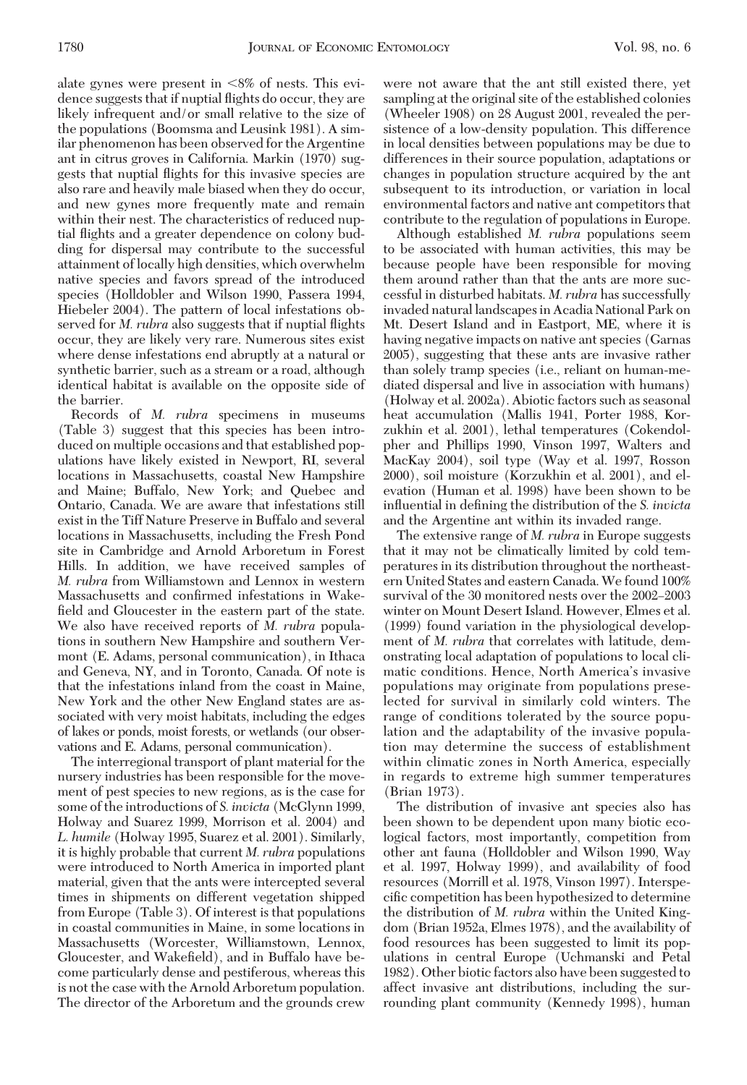alate gynes were present in  $< 8\%$  of nests. This evidence suggests that if nuptial ßights do occur, they are likely infrequent and/or small relative to the size of the populations (Boomsma and Leusink 1981). A similar phenomenon has been observed for the Argentine ant in citrus groves in California. Markin (1970) suggests that nuptial ßights for this invasive species are also rare and heavily male biased when they do occur, and new gynes more frequently mate and remain within their nest. The characteristics of reduced nuptial ßights and a greater dependence on colony budding for dispersal may contribute to the successful attainment of locally high densities, which overwhelm native species and favors spread of the introduced species (Holldobler and Wilson 1990, Passera 1994, Hiebeler 2004). The pattern of local infestations observed for *M. rubra* also suggests that if nuptial ßights occur, they are likely very rare. Numerous sites exist where dense infestations end abruptly at a natural or synthetic barrier, such as a stream or a road, although identical habitat is available on the opposite side of the barrier.

Records of *M. rubra* specimens in museums (Table 3) suggest that this species has been introduced on multiple occasions and that established populations have likely existed in Newport, RI, several locations in Massachusetts, coastal New Hampshire and Maine; Buffalo, New York; and Quebec and Ontario, Canada. We are aware that infestations still exist in the Tiff Nature Preserve in Buffalo and several locations in Massachusetts, including the Fresh Pond site in Cambridge and Arnold Arboretum in Forest Hills. In addition, we have received samples of *M. rubra* from Williamstown and Lennox in western Massachusetts and confirmed infestations in Wakefield and Gloucester in the eastern part of the state. We also have received reports of *M. rubra* populations in southern New Hampshire and southern Vermont (E. Adams, personal communication), in Ithaca and Geneva, NY, and in Toronto, Canada. Of note is that the infestations inland from the coast in Maine, New York and the other New England states are associated with very moist habitats, including the edges of lakes or ponds, moist forests, or wetlands (our observations and E. Adams, personal communication).

The interregional transport of plant material for the nursery industries has been responsible for the movement of pest species to new regions, as is the case for some of the introductions of *S. invicta* (McGlynn 1999, Holway and Suarez 1999, Morrison et al. 2004) and *L. humile* (Holway 1995, Suarez et al. 2001). Similarly, it is highly probable that current *M. rubra* populations were introduced to North America in imported plant material, given that the ants were intercepted several times in shipments on different vegetation shipped from Europe (Table 3). Of interest is that populations in coastal communities in Maine, in some locations in Massachusetts (Worcester, Williamstown, Lennox, Gloucester, and Wakefield), and in Buffalo have become particularly dense and pestiferous, whereas this is not the case with the Arnold Arboretum population. The director of the Arboretum and the grounds crew were not aware that the ant still existed there, yet sampling at the original site of the established colonies (Wheeler 1908) on 28 August 2001, revealed the persistence of a low-density population. This difference in local densities between populations may be due to differences in their source population, adaptations or changes in population structure acquired by the ant subsequent to its introduction, or variation in local environmental factors and native ant competitors that contribute to the regulation of populations in Europe.

Although established *M. rubra* populations seem to be associated with human activities, this may be because people have been responsible for moving them around rather than that the ants are more successful in disturbed habitats. *M. rubra* has successfully invaded natural landscapes in Acadia National Park on Mt. Desert Island and in Eastport, ME, where it is having negative impacts on native ant species (Garnas 2005), suggesting that these ants are invasive rather than solely tramp species (i.e., reliant on human-mediated dispersal and live in association with humans) (Holway et al. 2002a). Abiotic factors such as seasonal heat accumulation (Mallis 1941, Porter 1988, Korzukhin et al. 2001), lethal temperatures (Cokendolpher and Phillips 1990, Vinson 1997, Walters and MacKay 2004), soil type (Way et al. 1997, Rosson 2000), soil moisture (Korzukhin et al. 2001), and elevation (Human et al. 1998) have been shown to be influential in defining the distribution of the *S. invicta* and the Argentine ant within its invaded range.

The extensive range of *M. rubra* in Europe suggests that it may not be climatically limited by cold temperatures in its distribution throughout the northeastern United States and eastern Canada.We found 100% survival of the 30 monitored nests over the 2002–2003 winter on Mount Desert Island. However, Elmes et al. (1999) found variation in the physiological development of *M. rubra* that correlates with latitude, demonstrating local adaptation of populations to local climatic conditions. Hence, North America's invasive populations may originate from populations preselected for survival in similarly cold winters. The range of conditions tolerated by the source population and the adaptability of the invasive population may determine the success of establishment within climatic zones in North America, especially in regards to extreme high summer temperatures (Brian 1973).

The distribution of invasive ant species also has been shown to be dependent upon many biotic ecological factors, most importantly, competition from other ant fauna (Holldobler and Wilson 1990, Way et al. 1997, Holway 1999), and availability of food resources (Morrill et al. 1978, Vinson 1997). Interspecific competition has been hypothesized to determine the distribution of *M. rubra* within the United Kingdom (Brian 1952a, Elmes 1978), and the availability of food resources has been suggested to limit its populations in central Europe (Uchmanski and Petal 1982). Other biotic factors also have been suggested to affect invasive ant distributions, including the surrounding plant community (Kennedy 1998), human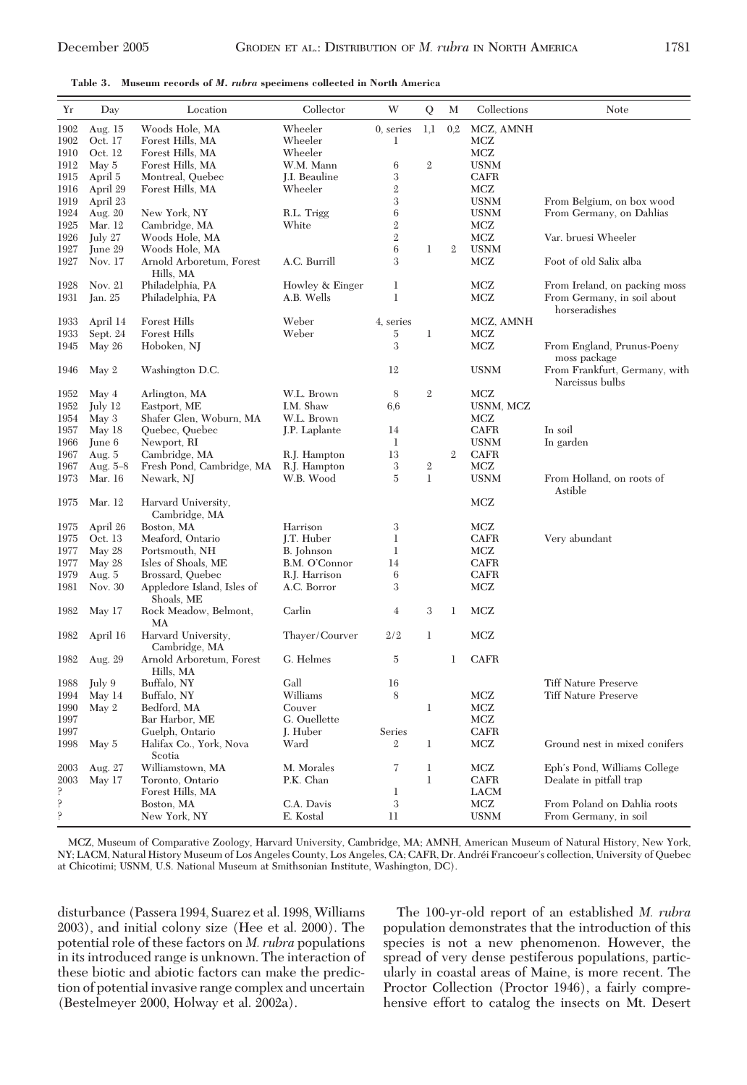**Table 3. Museum records of** *M. rubra* **specimens collected in North America**

| Yr   | Day        | Location                                 | Collector            | W              | Q              | M              | Collections | Note                                             |
|------|------------|------------------------------------------|----------------------|----------------|----------------|----------------|-------------|--------------------------------------------------|
| 1902 | Aug. 15    | Woods Hole, MA                           | Wheeler              | $0$ , series   | 1,1            | 0,2            | MCZ, AMNH   |                                                  |
| 1902 | Oct. 17    | Forest Hills, MA                         | Wheeler              | 1              |                |                | MCZ         |                                                  |
| 1910 | Oct. 12    | Forest Hills, MA                         | Wheeler              |                |                |                | MCZ         |                                                  |
| 1912 | May 5      | Forest Hills, MA                         | W.M. Mann            | 6              | $\overline{2}$ |                | USNM        |                                                  |
| 1915 | April 5    | Montreal, Quebec                         | <b>J.I.</b> Beauline | 3              |                |                | CAFR        |                                                  |
| 1916 | April 29   | Forest Hills, MA                         | Wheeler              | $\overline{2}$ |                |                | MCZ         |                                                  |
| 1919 | April 23   |                                          |                      | 3              |                |                | <b>USNM</b> | From Belgium, on box wood                        |
| 1924 | Aug. 20    | New York, NY                             | R.L. Trigg           | 6              |                |                | <b>USNM</b> | From Germany, on Dahlias                         |
| 1925 | Mar. 12    | Cambridge, MA                            | White                | $\overline{2}$ |                |                | MCZ         |                                                  |
| 1926 | July 27    | Woods Hole, MA                           |                      | $\mathbf{2}$   |                |                | <b>MCZ</b>  | Var. bruesi Wheeler                              |
| 1927 | June 29    | Woods Hole, MA                           |                      | 6              | $\mathbf{1}$   | $\overline{2}$ | <b>USNM</b> |                                                  |
| 1927 | Nov. 17    | Arnold Arboretum, Forest<br>Hills, MA    | A.C. Burrill         | 3              |                |                | <b>MCZ</b>  | Foot of old Salix alba                           |
| 1928 | Nov. 21    | Philadelphia, PA                         | Howley & Einger      | $\mathbf{1}$   |                |                | MCZ         | From Ireland, on packing moss                    |
| 1931 | Jan. 25    | Philadelphia, PA                         | A.B. Wells           | 1              |                |                | MCZ         | From Germany, in soil about<br>horseradishes     |
| 1933 | April 14   | Forest Hills                             | Weber                | 4, series      |                |                | MCZ, AMNH   |                                                  |
| 1933 | Sept. 24   | <b>Forest Hills</b>                      | Weber                | 5              | 1              |                | MCZ         |                                                  |
| 1945 | May 26     | Hoboken, NJ                              |                      | 3              |                |                | <b>MCZ</b>  | From England, Prunus-Poeny<br>moss package       |
| 1946 | May 2      | Washington D.C.                          |                      | 12             |                |                | <b>USNM</b> | From Frankfurt, Germany, with<br>Narcissus bulbs |
| 1952 | May 4      | Arlington, MA                            | W.L. Brown           | 8              | $\overline{2}$ |                | MCZ         |                                                  |
| 1952 | July 12    | Eastport, ME                             | I.M. Shaw            | 6,6            |                |                | USNM, MCZ   |                                                  |
| 1954 | May 3      | Shafer Glen, Woburn, MA                  | W.L. Brown           |                |                |                | MCZ         |                                                  |
| 1957 | May 18     | Quebec, Quebec                           | J.P. Laplante        | 14             |                |                | <b>CAFR</b> | In soil                                          |
| 1966 | June 6     | Newport, RI                              |                      | $\mathbf{1}$   |                |                | <b>USNM</b> | In garden                                        |
| 1967 | Aug. $5$   | Cambridge, MA                            | R.J. Hampton         | 13             |                | $\mathfrak{2}$ | <b>CAFR</b> |                                                  |
| 1967 | Aug. $5-8$ | Fresh Pond, Cambridge, MA                | R.J. Hampton         | 3              | $\,2$          |                | MCZ         |                                                  |
| 1973 | Mar. 16    | Newark, NJ                               | W.B. Wood            | $\overline{5}$ | $\mathbf{1}$   |                | <b>USNM</b> | From Holland, on roots of<br>Astible             |
| 1975 | Mar. 12    | Harvard University,<br>Cambridge, MA     |                      |                |                |                | MCZ         |                                                  |
| 1975 | April 26   | Boston, MA                               | Harrison             | 3              |                |                | MCZ         |                                                  |
| 1975 | Oct. 13    | Meaford, Ontario                         | I.T. Huber           | 1              |                |                | <b>CAFR</b> | Very abundant                                    |
| 1977 | May 28     | Portsmouth, NH                           | <b>B.</b> Johnson    | $\mathbf{1}$   |                |                | MCZ         |                                                  |
| 1977 | May 28     | Isles of Shoals, ME                      | B.M. O'Connor        | 14             |                |                | CAFR        |                                                  |
| 1979 | Aug. 5     | Brossard, Ouebec                         | R.J. Harrison        | 6              |                |                | <b>CAFR</b> |                                                  |
| 1981 | Nov. 30    | Appledore Island, Isles of<br>Shoals, ME | A.C. Borror          | 3              |                |                | <b>MCZ</b>  |                                                  |
| 1982 | May 17     | Rock Meadow, Belmont,<br>MA              | Carlin               | $\overline{4}$ | 3              | $\mathbf{1}$   | <b>MCZ</b>  |                                                  |
| 1982 | April 16   | Harvard University,<br>Cambridge, MA     | Thaver/Courver       | 2/2            | $\mathbf{1}$   |                | MCZ         |                                                  |
| 1982 | Aug. 29    | Arnold Arboretum, Forest<br>Hills, MA    | G. Helmes            | $\overline{5}$ |                | 1              | CAFR        |                                                  |
| 1988 | July 9     | Buffalo, NY                              | Gall                 | 16             |                |                |             | <b>Tiff Nature Preserve</b>                      |
| 1994 | May 14     | Buffalo, NY                              | Williams             | 8              |                |                | MCZ         | <b>Tiff Nature Preserve</b>                      |
| 1990 | May 2      | Bedford, MA                              | Couver               |                | $\mathbf{1}$   |                | MCZ         |                                                  |
| 1997 |            | Bar Harbor, ME                           | G. Ouellette         |                |                |                | MCZ         |                                                  |
| 1997 |            | Guelph, Ontario                          | J. Huber             | Series         |                |                | <b>CAFR</b> |                                                  |
| 1998 | May 5      | Halifax Co., York, Nova<br>Scotia        | Ward                 | $\overline{2}$ | $\mathbf{1}$   |                | <b>MCZ</b>  | Ground nest in mixed conifers                    |
| 2003 | Aug. 27    | Williamstown, MA                         | M. Morales           | 7              | $\mathbf{1}$   |                | <b>MCZ</b>  | Eph's Pond, Williams College                     |
| 2003 | May 17     | Toronto, Ontario                         | P.K. Chan            |                | $\mathbf{1}$   |                | <b>CAFR</b> | Dealate in pitfall trap                          |
| ç.   |            | Forest Hills, MA                         |                      | $\mathbf{1}$   |                |                | <b>LACM</b> |                                                  |
| ę.   |            | Boston, MA                               | C.A. Davis           | 3              |                |                | MCZ         | From Poland on Dahlia roots                      |
| ę.   |            | New York, NY                             | E. Kostal            | 11             |                |                | <b>USNM</b> | From Germany, in soil                            |

MCZ, Museum of Comparative Zoology, Harvard University, Cambridge, MA; AMNH, American Museum of Natural History, New York, NY; LACM, Natural History Museum of Los Angeles County, Los Angeles, CA; CAFR, Dr. Andréi Francoeur's collection, University of Quebec at Chicotimi; USNM, U.S. National Museum at Smithsonian Institute, Washington, DC).

disturbance (Passera 1994, Suarez et al. 1998, Williams 2003), and initial colony size (Hee et al. 2000). The potential role of these factors on *M. rubra* populations in its introduced range is unknown. The interaction of these biotic and abiotic factors can make the prediction of potential invasive range complex and uncertain (Bestelmeyer 2000, Holway et al. 2002a).

The 100-yr-old report of an established *M. rubra* population demonstrates that the introduction of this species is not a new phenomenon. However, the spread of very dense pestiferous populations, particularly in coastal areas of Maine, is more recent. The Proctor Collection (Proctor 1946), a fairly comprehensive effort to catalog the insects on Mt. Desert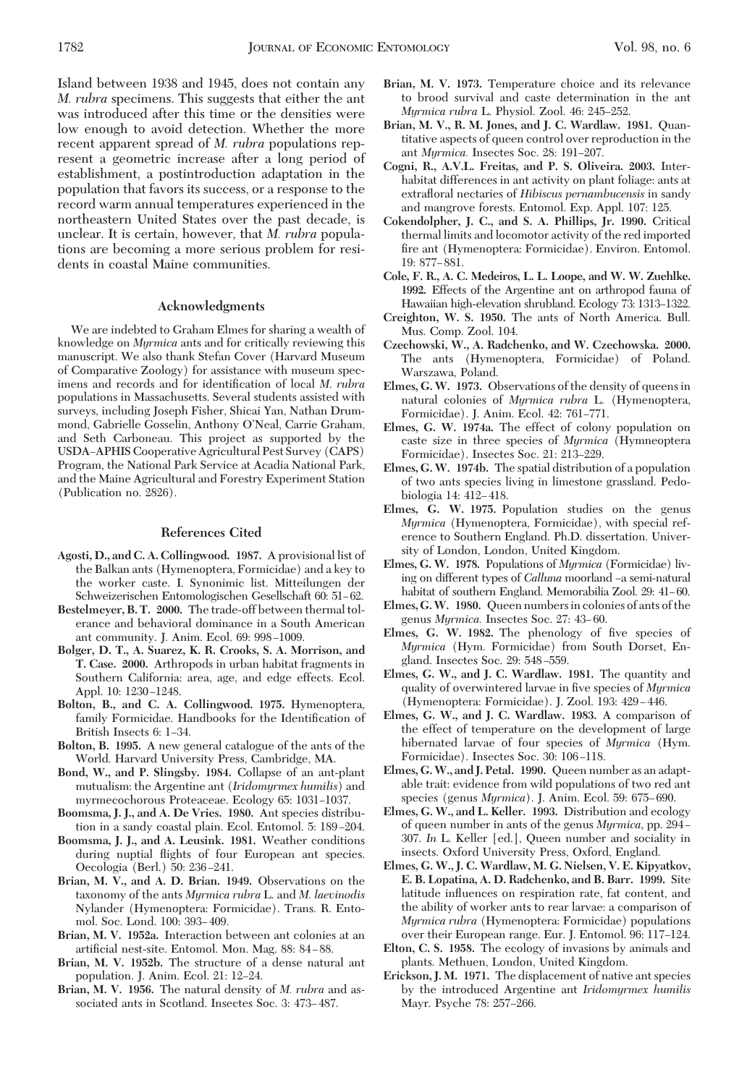Island between 1938 and 1945, does not contain any *M. rubra* specimens. This suggests that either the ant was introduced after this time or the densities were low enough to avoid detection. Whether the more recent apparent spread of *M. rubra* populations represent a geometric increase after a long period of establishment, a postintroduction adaptation in the population that favors its success, or a response to the record warm annual temperatures experienced in the northeastern United States over the past decade, is unclear. It is certain, however, that *M. rubra* populations are becoming a more serious problem for residents in coastal Maine communities.

#### **Acknowledgments**

We are indebted to Graham Elmes for sharing a wealth of knowledge on *Myrmica* ants and for critically reviewing this manuscript. We also thank Stefan Cover (Harvard Museum of Comparative Zoology) for assistance with museum specimens and records and for identification of local *M. rubra* populations in Massachusetts. Several students assisted with surveys, including Joseph Fisher, Shicai Yan, Nathan Drummond, Gabrielle Gosselin, Anthony O'Neal, Carrie Graham, and Seth Carboneau. This project as supported by the USDA-APHIS Cooperative Agricultural Pest Survey (CAPS) Program, the National Park Service at Acadia National Park, and the Maine Agricultural and Forestry Experiment Station (Publication no. 2826).

## **References Cited**

- **Agosti, D., and C. A. Collingwood. 1987.** A provisional list of the Balkan ants (Hymenoptera, Formicidae) and a key to the worker caste. I. Synonimic list. Mitteilungen der Schweizerischen Entomologischen Gesellschaft 60: 51–62.
- **Bestelmeyer, B. T. 2000.** The trade-off between thermal tolerance and behavioral dominance in a South American ant community. J. Anim. Ecol. 69: 998-1009.
- **Bolger, D. T., A. Suarez, K. R. Crooks, S. A. Morrison, and T. Case. 2000.** Arthropods in urban habitat fragments in Southern California: area, age, and edge effects. Ecol. Appl. 10: 1230-1248.
- **Bolton, B., and C. A. Collingwood. 1975.** Hymenoptera, family Formicidae. Handbooks for the Identification of British Insects 6: 1–34.
- **Bolton, B. 1995.** A new general catalogue of the ants of the World. Harvard University Press, Cambridge, MA.
- **Bond, W., and P. Slingsby. 1984.** Collapse of an ant-plant mutualism: the Argentine ant (*Iridomyrmex humilis*) and myrmecochorous Proteaceae. Ecology 65: 1031-1037.
- **Boomsma, J. J., and A. De Vries. 1980.** Ant species distribution in a sandy coastal plain. Ecol. Entomol. 5: 189–204.
- **Boomsma, J. J., and A. Leusink. 1981.** Weather conditions during nuptial ßights of four European ant species. Oecologia (Berl.) 50: 236-241.
- **Brian, M. V., and A. D. Brian. 1949.** Observations on the taxonomy of the ants *Myrmica rubra* L. and *M. laevinodis* Nylander (Hymenoptera: Formicidae). Trans. R. Entomol. Soc. Lond. 100: 393-409.
- **Brian, M. V. 1952a.** Interaction between ant colonies at an artificial nest-site. Entomol. Mon. Mag. 88: 84-88.
- **Brian, M. V. 1952b.** The structure of a dense natural ant population. J. Anim. Ecol. 21: 12-24.
- **Brian, M. V. 1956.** The natural density of *M. rubra* and associated ants in Scotland. Insectes Soc. 3: 473-487.
- **Brian, M. V. 1973.** Temperature choice and its relevance to brood survival and caste determination in the ant *Myrmica rubra* L. Physiol. Zool. 46: 245-252.
- **Brian, M. V., R. M. Jones, and J. C. Wardlaw. 1981.** Quantitative aspects of queen control over reproduction in the ant *Myrmica*. Insectes Soc. 28: 191-207.
- **Cogni, R., A.V.L. Freitas, and P. S. Oliveira. 2003.** Interhabitat differences in ant activity on plant foliage: ants at extraßoral nectaries of *Hibiscus pernambucensis* in sandy and mangrove forests. Entomol. Exp. Appl. 107: 125.
- **Cokendolpher, J. C., and S. A. Phillips, Jr. 1990.** Critical thermal limits and locomotor activity of the red imported fire ant (Hymenoptera: Formicidae). Environ. Entomol. 19: 877-881.
- **Cole, F. R., A. C. Medeiros, L. L. Loope, and W. W. Zuehlke. 1992.** Effects of the Argentine ant on arthropod fauna of Hawaiian high-elevation shrubland. Ecology 73: 1313-1322.
- **Creighton, W. S. 1950.** The ants of North America. Bull. Mus. Comp. Zool. 104.
- **Czechowski, W., A. Radchenko, and W. Czechowska. 2000.** The ants (Hymenoptera, Formicidae) of Poland. Warszawa, Poland.
- **Elmes, G. W. 1973.** Observations of the density of queens in natural colonies of *Myrmica rubra* L. (Hymenoptera, Formicidae). J. Anim. Ecol. 42: 761-771.
- **Elmes, G. W. 1974a.** The effect of colony population on caste size in three species of *Myrmica* (Hymneoptera Formicidae). Insectes Soc. 21: 213-229.
- **Elmes, G.W. 1974b.** The spatial distribution of a population of two ants species living in limestone grassland. Pedobiologia 14: 412-418.
- **Elmes, G. W. 1975.** Population studies on the genus *Myrmica* (Hymenoptera, Formicidae), with special reference to Southern England. Ph.D. dissertation. University of London, London, United Kingdom.
- **Elmes, G. W. 1978.** Populations of *Myrmica* (Formicidae) living on different types of *Calluna* moorland  $-a$  semi-natural habitat of southern England. Memorabilia Zool. 29: 41–60.
- **Elmes, G.W. 1980.** Queen numbersin colonies of ants of the genus *Myrmica*. Insectes Soc. 27: 43-60.
- Elmes, G. W. 1982. The phenology of five species of *Myrmica* (Hym. Formicidae) from South Dorset, England. Insectes Soc. 29: 548-559.
- **Elmes, G. W., and J. C. Wardlaw. 1981.** The quantity and quality of overwintered larvae in five species of *Myrmica* (Hymenoptera: Formicidae). J. Zool. 193: 429-446.
- **Elmes, G. W., and J. C. Wardlaw. 1983.** A comparison of the effect of temperature on the development of large hibernated larvae of four species of *Myrmica* (Hym. Formicidae). Insectes Soc. 30: 106-118.
- **Elmes, G.W., and J. Petal. 1990.** Queen number as an adaptable trait: evidence from wild populations of two red ant species (genus *Myrmica*). J. Anim. Ecol. 59: 675–690.
- **Elmes, G. W., and L. Keller. 1993.** Distribution and ecology of queen number in ants of the genus *Myrmica*, pp. 294– 307. *In* L. Keller [ed.], Queen number and sociality in insects. Oxford University Press, Oxford, England.
- **Elmes, G. W., J. C. Wardlaw, M. G. Nielsen, V. E. Kipyatkov, E. B. Lopatina, A. D. Radchenko, and B. Barr. 1999.** Site latitude inßuences on respiration rate, fat content, and the ability of worker ants to rear larvae: a comparison of *Myrmica rubra* (Hymenoptera: Formicidae) populations over their European range. Eur. J. Entomol. 96: 117–124.
- **Elton, C. S. 1958.** The ecology of invasions by animals and plants. Methuen, London, United Kingdom.
- **Erickson, J. M. 1971.** The displacement of native ant species by the introduced Argentine ant *Iridomyrmex humilis* Mayr. Psyche 78: 257-266.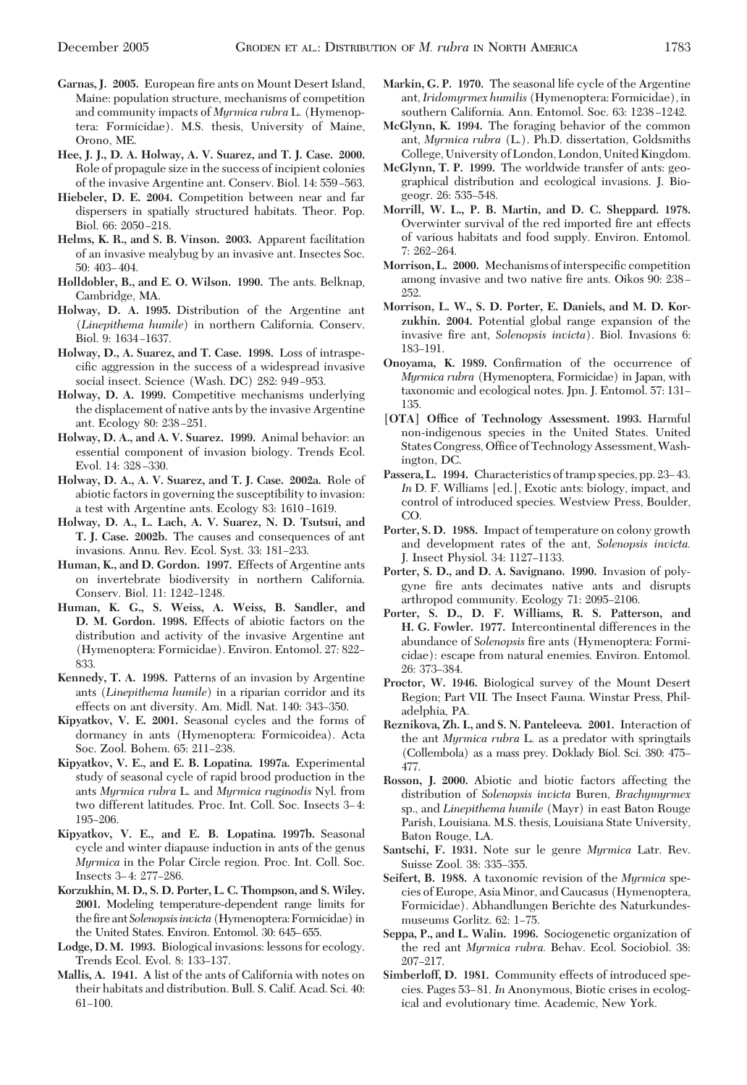- Garnas, J. 2005. European fire ants on Mount Desert Island, Maine: population structure, mechanisms of competition and community impacts of *Myrmica rubra* L. (Hymenoptera: Formicidae). M.S. thesis, University of Maine, Orono, ME.
- **Hee, J. J., D. A. Holway, A. V. Suarez, and T. J. Case. 2000.** Role of propagule size in the success of incipient colonies of the invasive Argentine ant. Conserv. Biol. 14: 559-563.
- **Hiebeler, D. E. 2004.** Competition between near and far dispersers in spatially structured habitats. Theor. Pop. Biol. 66: 2050-218.
- **Helms, K. R., and S. B. Vinson. 2003.** Apparent facilitation of an invasive mealybug by an invasive ant. Insectes Soc.  $50:403-404.$
- **Holldobler, B., and E. O. Wilson. 1990.** The ants. Belknap, Cambridge, MA.
- **Holway, D. A. 1995.** Distribution of the Argentine ant (*Linepithema humile*) in northern California. Conserv. Biol. 9: 1634-1637.
- **Holway, D., A. Suarez, and T. Case. 1998.** Loss of intraspecific aggression in the success of a widespread invasive social insect. Science (Wash. DC) 282: 949-953.
- **Holway, D. A. 1999.** Competitive mechanisms underlying the displacement of native ants by the invasive Argentine ant. Ecology 80: 238-251.
- **Holway, D. A., and A. V. Suarez. 1999.** Animal behavior: an essential component of invasion biology. Trends Ecol. Evol. 14: 328-330.
- **Holway, D. A., A. V. Suarez, and T. J. Case. 2002a.** Role of abiotic factors in governing the susceptibility to invasion: a test with Argentine ants. Ecology 83: 1610-1619.
- **Holway, D. A., L. Lach, A. V. Suarez, N. D. Tsutsui, and T. J. Case. 2002b.** The causes and consequences of ant invasions. Annu. Rev. Ecol. Syst. 33: 181-233.
- **Human, K., and D. Gordon. 1997.** Effects of Argentine ants on invertebrate biodiversity in northern California. Conserv. Biol. 11: 1242-1248.
- **Human, K. G., S. Weiss, A. Weiss, B. Sandler, and D. M. Gordon. 1998.** Effects of abiotic factors on the distribution and activity of the invasive Argentine ant (Hymenoptera: Formicidae). Environ. Entomol. 27: 822– 833.
- **Kennedy, T. A. 1998.** Patterns of an invasion by Argentine ants (*Linepithema humile*) in a riparian corridor and its effects on ant diversity. Am. Midl. Nat. 140: 343-350.
- **Kipyatkov, V. E. 2001.** Seasonal cycles and the forms of dormancy in ants (Hymenoptera: Formicoidea). Acta Soc. Zool. Bohem. 65: 211-238.
- **Kipyatkov, V. E., and E. B. Lopatina. 1997a.** Experimental study of seasonal cycle of rapid brood production in the ants *Myrmica rubra* L. and *Myrmica ruginodis* Nyl. from two different latitudes. Proc. Int. Coll. Soc. Insects 3-4: 195-206.
- **Kipyatkov, V. E., and E. B. Lopatina. 1997b.** Seasonal cycle and winter diapause induction in ants of the genus *Myrmica* in the Polar Circle region. Proc. Int. Coll. Soc. Insects 3-4: 277-286.
- **Korzukhin, M. D., S. D. Porter, L. C. Thompson, and S. Wiley. 2001.** Modeling temperature-dependent range limits for the fire ant *Solenopsis invicta* (Hymenoptera: Formicidae) in the United States. Environ. Entomol. 30: 645–655.
- **Lodge, D. M. 1993.** Biological invasions: lessons for ecology. Trends Ecol. Evol. 8: 133-137.
- **Mallis, A. 1941.** A list of the ants of California with notes on their habitats and distribution. Bull. S. Calif. Acad. Sci. 40:  $61 - 100.$
- **Markin, G. P. 1970.** The seasonal life cycle of the Argentine ant,*Iridomyrmex humilis* (Hymenoptera: Formicidae), in southern California. Ann. Entomol. Soc. 63: 1238-1242.
- **McGlynn, K. 1994.** The foraging behavior of the common ant, *Myrmica rubra* (L.). Ph.D. dissertation, Goldsmiths College, University of London, London, United Kingdom.
- **McGlynn, T. P. 1999.** The worldwide transfer of ants: geographical distribution and ecological invasions. J. Biogeogr. 26: 535-548.
- **Morrill, W. L., P. B. Martin, and D. C. Sheppard. 1978.** Overwinter survival of the red imported fire ant effects of various habitats and food supply. Environ. Entomol.  $7: 262 - 264.$
- Morrison, L. 2000. Mechanisms of interspecific competition among invasive and two native fire ants. Oikos 90: 238 -252.
- **Morrison, L. W., S. D. Porter, E. Daniels, and M. D. Korzukhin. 2004.** Potential global range expansion of the invasive fire ant, *Solenopsis invicta*). Biol. Invasions 6: 183–191.
- Onoyama, K. 1989. Confirmation of the occurrence of *Myrmica rubra* (Hymenoptera, Formicidae) in Japan, with taxonomic and ecological notes. Jpn. J. Entomol. 57: 131-135.
- **[OTA] Office of Technology Assessment. 1993.** Harmful non-indigenous species in the United States. United States Congress, Office of Technology Assessment, Washington, DC.
- Passera, L. 1994. Characteristics of tramp species, pp. 23–43. In D. F. Williams [ed.], Exotic ants: biology, impact, and control of introduced species. Westview Press, Boulder, CO.
- **Porter, S. D. 1988.** Impact of temperature on colony growth and development rates of the ant, *Solenopsis invicta.* J. Insect Physiol. 34: 1127-1133.
- **Porter, S. D., and D. A. Savignano. 1990.** Invasion of polygyne fire ants decimates native ants and disrupts arthropod community. Ecology 71: 2095-2106.
- **Porter, S. D., D. F. Williams, R. S. Patterson, and H. G. Fowler. 1977.** Intercontinental differences in the abundance of *Solenopsis* fire ants (Hymenoptera: Formicidae): escape from natural enemies. Environ. Entomol. 26: 373-384.
- **Proctor, W. 1946.** Biological survey of the Mount Desert Region; Part VII. The Insect Fauna. Winstar Press, Philadelphia, PA.
- **Reznikova, Zh. I., and S. N. Panteleeva. 2001.** Interaction of the ant *Myrmica rubra* L. as a predator with springtails (Collembola) as a mass prey. Doklady Biol. Sci. 380: 475– 477.
- **Rosson, J. 2000.** Abiotic and biotic factors affecting the distribution of *Solenopsis invicta* Buren, *Brachymyrmex* sp., and *Linepithema humile* (Mayr) in east Baton Rouge Parish, Louisiana. M.S. thesis, Louisiana State University, Baton Rouge, LA.
- **Santschi, F. 1931.** Note sur le genre *Myrmica* Latr. Rev. Suisse Zool. 38: 335-355.
- **Seifert, B. 1988.** A taxonomic revision of the *Myrmica* species of Europe, Asia Minor, and Caucasus (Hymenoptera, Formicidae). Abhandlungen Berichte des Naturkundesmuseums Gorlitz. 62: 1-75.
- **Seppa, P., and L. Walin. 1996.** Sociogenetic organization of the red ant *Myrmica rubra.* Behav. Ecol. Sociobiol. 38: 207-217.
- **Simberloff, D. 1981.** Community effects of introduced species. Pages 53–81. *In* Anonymous, Biotic crises in ecological and evolutionary time. Academic, New York.